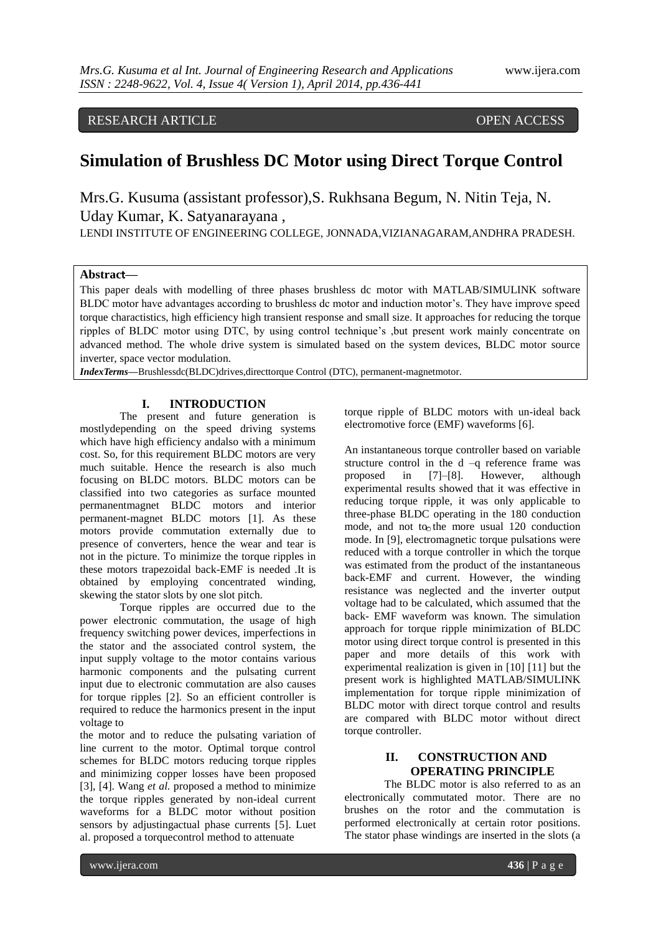# RESEARCH ARTICLE OPEN ACCESS

# **Simulation of Brushless DC Motor using Direct Torque Control**

Mrs.G. Kusuma (assistant professor),S. Rukhsana Begum, N. Nitin Teja, N. Uday Kumar, K. Satyanarayana ,

LENDI INSTITUTE OF ENGINEERING COLLEGE, JONNADA,VIZIANAGARAM,ANDHRA PRADESH.

## **Abstract—**

This paper deals with modelling of three phases brushless dc motor with MATLAB/SIMULINK software BLDC motor have advantages according to brushless dc motor and induction motor's. They have improve speed torque charactistics, high efficiency high transient response and small size. It approaches for reducing the torque ripples of BLDC motor using DTC, by using control technique's ,but present work mainly concentrate on advanced method. The whole drive system is simulated based on the system devices, BLDC motor source inverter, space vector modulation.

*IndexTerms—*Brushlessdc(BLDC)drives,directtorque Control (DTC), permanent-magnetmotor.

#### **I. INTRODUCTION**

The present and future generation is mostlydepending on the speed driving systems which have high efficiency andalso with a minimum cost. So, for this requirement BLDC motors are very much suitable. Hence the research is also much focusing on BLDC motors. BLDC motors can be classified into two categories as surface mounted permanentmagnet BLDC motors and interior permanent-magnet BLDC motors [1]. As these motors provide commutation externally due to presence of converters, hence the wear and tear is not in the picture. To minimize the torque ripples in these motors trapezoidal back-EMF is needed .It is obtained by employing concentrated winding, skewing the stator slots by one slot pitch.

Torque ripples are occurred due to the power electronic commutation, the usage of high frequency switching power devices, imperfections in the stator and the associated control system, the input supply voltage to the motor contains various harmonic components and the pulsating current input due to electronic commutation are also causes for torque ripples [2]. So an efficient controller is required to reduce the harmonics present in the input voltage to

the motor and to reduce the pulsating variation of line current to the motor. Optimal torque control schemes for BLDC motors reducing torque ripples and minimizing copper losses have been proposed [3], [4]. Wang *et al.* proposed a method to minimize the torque ripples generated by non-ideal current waveforms for a BLDC motor without position sensors by adjustingactual phase currents [5]. Luet al. proposed a torquecontrol method to attenuate

torque ripple of BLDC motors with un-ideal back electromotive force (EMF) waveforms [6].

An instantaneous torque controller based on variable structure control in the d –q reference frame was proposed in [7]–[8]. However, although experimental results showed that it was effective in reducing torque ripple, it was only applicable to three-phase BLDC operating in the 180 conduction mode, and not to the more usual 120 conduction mode. In [9], electromagnetic torque pulsations were reduced with a torque controller in which the torque was estimated from the product of the instantaneous back-EMF and current. However, the winding resistance was neglected and the inverter output voltage had to be calculated, which assumed that the back- EMF waveform was known. The simulation approach for torque ripple minimization of BLDC motor using direct torque control is presented in this paper and more details of this work with experimental realization is given in [10] [11] but the present work is highlighted MATLAB/SIMULINK implementation for torque ripple minimization of BLDC motor with direct torque control and results are compared with BLDC motor without direct torque controller.

# **II. CONSTRUCTION AND OPERATING PRINCIPLE**

The BLDC motor is also referred to as an electronically commutated motor. There are no brushes on the rotor and the commutation is performed electronically at certain rotor positions. The stator phase windings are inserted in the slots (a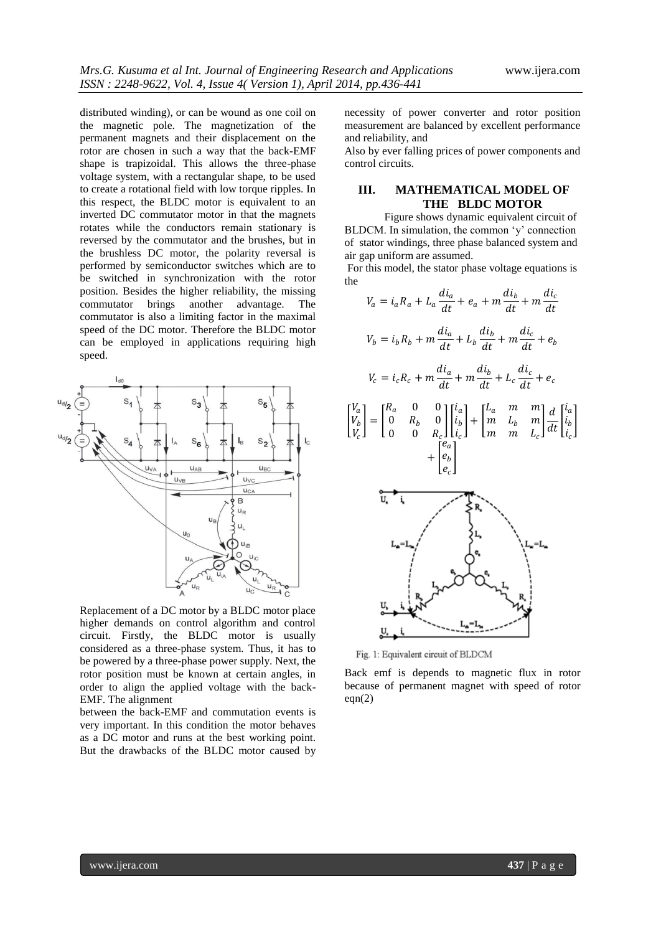distributed winding), or can be wound as one coil on the magnetic pole. The magnetization of the permanent magnets and their displacement on the rotor are chosen in such a way that the back-EMF shape is trapizoidal. This allows the three-phase voltage system, with a rectangular shape, to be used to create a rotational field with low torque ripples. In this respect, the BLDC motor is equivalent to an inverted DC commutator motor in that the magnets rotates while the conductors remain stationary is reversed by the commutator and the brushes, but in the brushless DC motor, the polarity reversal is performed by semiconductor switches which are to be switched in synchronization with the rotor position. Besides the higher reliability, the missing commutator brings another advantage. The commutator is also a limiting factor in the maximal speed of the DC motor. Therefore the BLDC motor can be employed in applications requiring high speed.



Replacement of a DC motor by a BLDC motor place higher demands on control algorithm and control circuit. Firstly, the BLDC motor is usually considered as a three-phase system. Thus, it has to be powered by a three-phase power supply. Next, the rotor position must be known at certain angles, in order to align the applied voltage with the back-EMF. The alignment

between the back-EMF and commutation events is very important. In this condition the motor behaves as a DC motor and runs at the best working point. But the drawbacks of the BLDC motor caused by necessity of power converter and rotor position measurement are balanced by excellent performance and reliability, and

Also by ever falling prices of power components and control circuits.

#### **III. MATHEMATICAL MODEL OF THE BLDC MOTOR**

Figure shows dynamic equivalent circuit of BLDCM. In simulation, the common 'y' connection of stator windings, three phase balanced system and air gap uniform are assumed.

For this model, the stator phase voltage equations is the



Fig. 1: Equivalent circuit of BLDCM

Back emf is depends to magnetic flux in rotor because of permanent magnet with speed of rotor  $eqn(2)$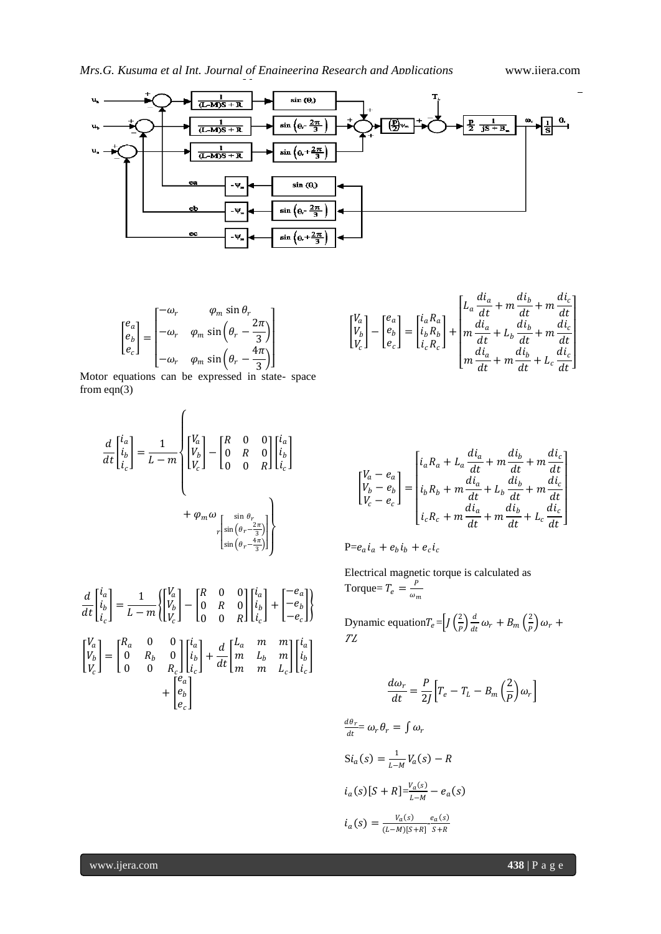

$$
\begin{bmatrix} e_a \\ e_b \\ e_c \end{bmatrix} = \begin{bmatrix} -\omega_r & \varphi_m \sin \theta_r \\ -\omega_r & \varphi_m \sin \left( \theta_r - \frac{2\pi}{3} \right) \\ -\omega_r & \varphi_m \sin \left( \theta_r - \frac{4\pi}{3} \right) \end{bmatrix}
$$

Motor equations can be expressed in state- space from eqn(3)

$$
\frac{d}{dt} \begin{bmatrix} i_a \\ i_b \\ i_c \end{bmatrix} = \frac{1}{L - m} \left\{ \begin{bmatrix} V_a \\ V_b \\ V_c \end{bmatrix} - \begin{bmatrix} R & 0 & 0 \\ 0 & R & 0 \\ 0 & 0 & R \end{bmatrix} \begin{bmatrix} i_a \\ i_b \\ i_c \end{bmatrix} \right\}
$$

$$
+ \varphi_m \omega_{\text{min}\left(\theta_r - \frac{2\pi}{3}\right)} \right\}
$$

$$
\frac{d}{dt} \begin{bmatrix} i_a \\ i_b \\ i_c \end{bmatrix} = \frac{1}{L - m} \left\{ \begin{bmatrix} V_a \\ V_b \\ V_c \end{bmatrix} - \begin{bmatrix} R & 0 & 0 \\ 0 & R & 0 \\ 0 & 0 & R \end{bmatrix} \begin{bmatrix} i_a \\ i_b \\ i_c \end{bmatrix} + \begin{bmatrix} -e_a \\ -e_b \\ -e_c \end{bmatrix} \right\}
$$
\n
$$
\begin{bmatrix} V_a \\ V_b \\ V_c \end{bmatrix} = \begin{bmatrix} R_a & 0 & 0 \\ 0 & R_b & 0 \\ 0 & 0 & R_c \end{bmatrix} \begin{bmatrix} i_a \\ i_b \\ i_c \end{bmatrix} + \frac{d}{dt} \begin{bmatrix} L_a & m & m \\ m & L_b & m \\ m & m & L_c \end{bmatrix} \begin{bmatrix} i_a \\ i_b \\ i_c \end{bmatrix}
$$
\n
$$
+ \begin{bmatrix} e_a \\ e_b \\ e_c \end{bmatrix}
$$

$$
\begin{bmatrix} V_a \\ V_b \\ V_c \end{bmatrix} - \begin{bmatrix} e_a \\ e_b \\ e_c \end{bmatrix} = \begin{bmatrix} i_a R_a \\ i_b R_b \\ i_c R_c \end{bmatrix} + \begin{bmatrix} L_a \frac{di_a}{dt} + m \frac{di_b}{dt} + m \frac{di_c}{dt} \\ m \frac{di_a}{dt} + L_b \frac{di_b}{dt} + m \frac{di_c}{dt} \\ m \frac{di_a}{dt} + m \frac{di_b}{dt} + L_c \frac{di_c}{dt} \end{bmatrix}
$$

$$
\begin{bmatrix}\nV_a - e_a \\
V_b - e_b \\
V_c - e_c\n\end{bmatrix} = \begin{bmatrix}\ni_a R_a + L_a \frac{di_a}{dt} + m \frac{di_b}{dt} + m \frac{di_c}{dt} \\
i_b R_b + m \frac{di_a}{dt} + L_b \frac{di_b}{dt} + m \frac{di_c}{dt} \\
i_c R_c + m \frac{di_a}{dt} + m \frac{di_b}{dt} + L_c \frac{di_c}{dt}\n\end{bmatrix}
$$

$$
P = e_a i_a + e_b i_b + e_c i_c
$$

Electrical magnetic torque is calculated as Torque=  $T_e = \frac{P}{a}$  $\omega_m$ 

Dynamic equation $T_e = \int \int \frac{2}{p}$  $\left(\frac{2}{p}\right)\frac{d}{di}$  $\frac{d}{dt}\omega_r + B_m\left(\frac{2}{p}\right)$  $\frac{2}{p}\big)\omega_r +$  $\overline{Z}$ 

$$
\frac{d\omega_r}{dt} = \frac{P}{2J} \Big[ T_e - T_L - B_m \left( \frac{2}{P} \right) \omega_r \Big]
$$

$$
\frac{d\theta_r}{dt} = \omega_r \theta_r = \int \omega_r
$$

$$
Si_a(s) = \frac{1}{L-M} V_a(s) - R
$$

$$
i_a(s)[S + R] = \frac{V_a(s)}{L-M} - e_a(s)
$$
  

$$
i_a(s) = \frac{V_a(s)}{(L-M)[S+R]} \frac{e_a(s)}{S+R}
$$

 $d\theta_r$  $dt$ 

www.ijera.com **438** | P a g e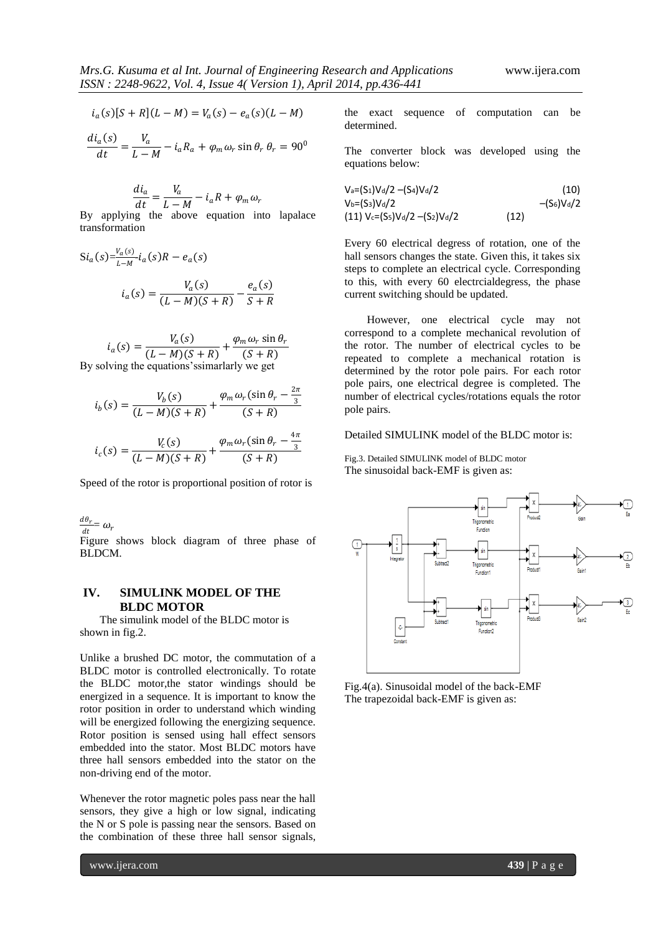$$
i_a(s)[S+R](L-M) = V_a(s) - e_a(s)(L-M)
$$

$$
\frac{di_a(s)}{dt} = \frac{V_a}{L - M} - i_a R_a + \varphi_m \omega_r \sin \theta_r \theta_r = 90^{\circ}
$$

$$
\frac{di_a}{dt} = \frac{V_a}{L - M} - i_a R + \varphi_m \omega_r
$$

By applying the above equation into lapalace transformation

$$
Si_a(s) = \frac{V_a(s)}{L-M} \cdot i_a(s)R - e_a(s)
$$

$$
i_a(s) = \frac{V_a(s)}{(L-M)(S+R)} - \frac{e_a(s)}{S+R}
$$

 $i_a(s) = \frac{V_a(s)}{(1 - M)(s)}$  $\frac{V_a(s)}{(L-M)(S+R)} + \frac{\varphi_m \omega_r \sin \theta_r}{(S+R)}$  $(S+R)$ By solving the equations'ssimarlarly we get

$$
i_b(s) = \frac{V_b(s)}{(L-M)(S+R)} + \frac{\varphi_m \omega_r (\sin \theta_r - \frac{2\pi}{3})}{(S+R)}
$$

$$
i_c(s) = \frac{V_c(s)}{(L-M)(S+R)} + \frac{\varphi_m \omega_r (\sin \theta_r - \frac{4\pi}{3})}{(S+R)}
$$

Speed of the rotor is proportional position of rotor is

 $d\theta_r$  $\frac{16r}{dt} = \omega_r$ Figure shows block diagram of three phase of BLDCM.

### **IV. SIMULINK MODEL OF THE BLDC MOTOR**

The simulink model of the BLDC motor is shown in fig.2.

Unlike a brushed DC motor, the commutation of a BLDC motor is controlled electronically. To rotate the BLDC motor,the stator windings should be energized in a sequence. It is important to know the rotor position in order to understand which winding will be energized following the energizing sequence. Rotor position is sensed using hall effect sensors embedded into the stator. Most BLDC motors have three hall sensors embedded into the stator on the non-driving end of the motor.

Whenever the rotor magnetic poles pass near the hall sensors, they give a high or low signal, indicating the N or S pole is passing near the sensors. Based on the combination of these three hall sensor signals,

the exact sequence of computation can be determined.

The converter block was developed using the equations below:

$$
V_a = (S_1)V_d/2 - (S_4)V_d/2
$$
\n
$$
V_b = (S_3)V_d/2
$$
\n
$$
(11) V_c = (S_5)V_d/2 - (S_2)V_d/2
$$
\n
$$
(12)
$$
\n
$$
(13) V_c = (S_5)V_d/2 - (S_2)V_d/2
$$
\n
$$
(13)
$$

Every 60 electrical degress of rotation, one of the hall sensors changes the state. Given this, it takes six steps to complete an electrical cycle. Corresponding to this, with every 60 electrcialdegress, the phase current switching should be updated.

 However, one electrical cycle may not correspond to a complete mechanical revolution of the rotor. The number of electrical cycles to be repeated to complete a mechanical rotation is determined by the rotor pole pairs. For each rotor pole pairs, one electrical degree is completed. The number of electrical cycles/rotations equals the rotor pole pairs.

Detailed SIMULINK model of the BLDC motor is:

Fig.3. Detailed SIMULINK model of BLDC motor The sinusoidal back-EMF is given as:



Fig.4(a). Sinusoidal model of the back-EMF The trapezoidal back-EMF is given as: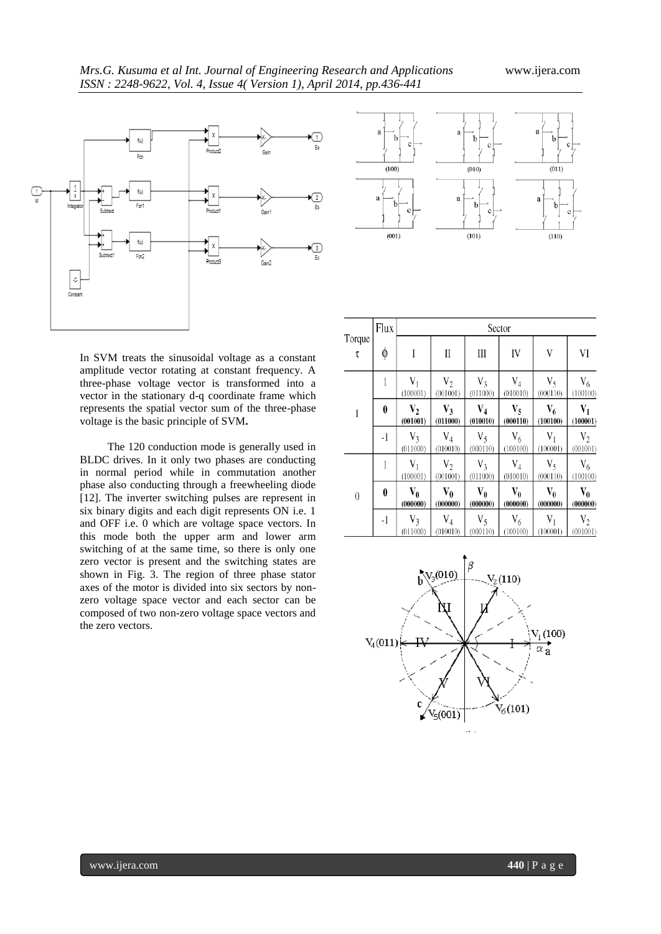

In SVM treats the sinusoidal voltage as a constant amplitude vector rotating at constant frequency. A three-phase voltage vector is transformed into a vector in the stationary d-q coordinate frame which represents the spatial vector sum of the three-phase voltage is the basic principle of SVM**.**

 The 120 conduction mode is generally used in BLDC drives. In it only two phases are conducting in normal period while in commutation another phase also conducting through a freewheeling diode [12]. The inverter switching pulses are represent in six binary digits and each digit represents ON i.e. 1 and OFF i.e. 0 which are voltage space vectors. In this mode both the upper arm and lower arm switching of at the same time, so there is only one zero vector is present and the switching states are shown in Fig. 3. The region of three phase stator axes of the motor is divided into six sectors by nonzero voltage space vector and each sector can be composed of two non-zero voltage space vectors and the zero vectors.



| Torque<br>τ      | Flux             | Sector                |                       |                            |                     |                   |                       |
|------------------|------------------|-----------------------|-----------------------|----------------------------|---------------------|-------------------|-----------------------|
|                  | φ                | I                     | $\mathbf{I}$          | III                        | IV                  | V                 | VI                    |
|                  |                  | $V_1$<br>(100001)     | $V_2$<br>(001001)     | $V_3$<br>(011000)          | $V_4$<br>(010010)   | $V_5$<br>(000110) | $V_6$<br>(100100)     |
|                  | $\boldsymbol{0}$ | $V_2$<br>(001001)     | $V_3$<br>(011000)     | $\rm V_4$<br>(010010)      | $V_{5}$<br>(000110) | $V_6$<br>(100100) | $V_1$<br>(100001)     |
|                  | $-1$             | $V_3$<br>(011000)     | $V_4$<br>(010010)     | $V_5$<br>(000110)          | $V_6$<br>(100100)   | $V_1$<br>(100001) | $V_2$<br>(001001)     |
| $\boldsymbol{0}$ | 1                | $V_1$<br>(100001)     | $V_2$<br>(001001)     | $V_3$<br>(011000)          | $V_4$<br>(010010)   | $V_5$<br>(000110) | $V_6$<br>(100100)     |
|                  | $\pmb{0}$        | $\rm V_0$<br>(000000) | $\rm V_0$<br>(000000) | $\mathbf{V_0}$<br>(000000) | $V_0$<br>(000000)   | $V_0$<br>(000000) | $\rm V_0$<br>(000000) |
|                  | $-1$             | $V_3$<br>(011000)     | $V_4$<br>(010010)     | $V_5$<br>(000110)          | $V_6$<br>(100100)   | $V_1$<br>(100001) | $V_2$<br>(001001)     |